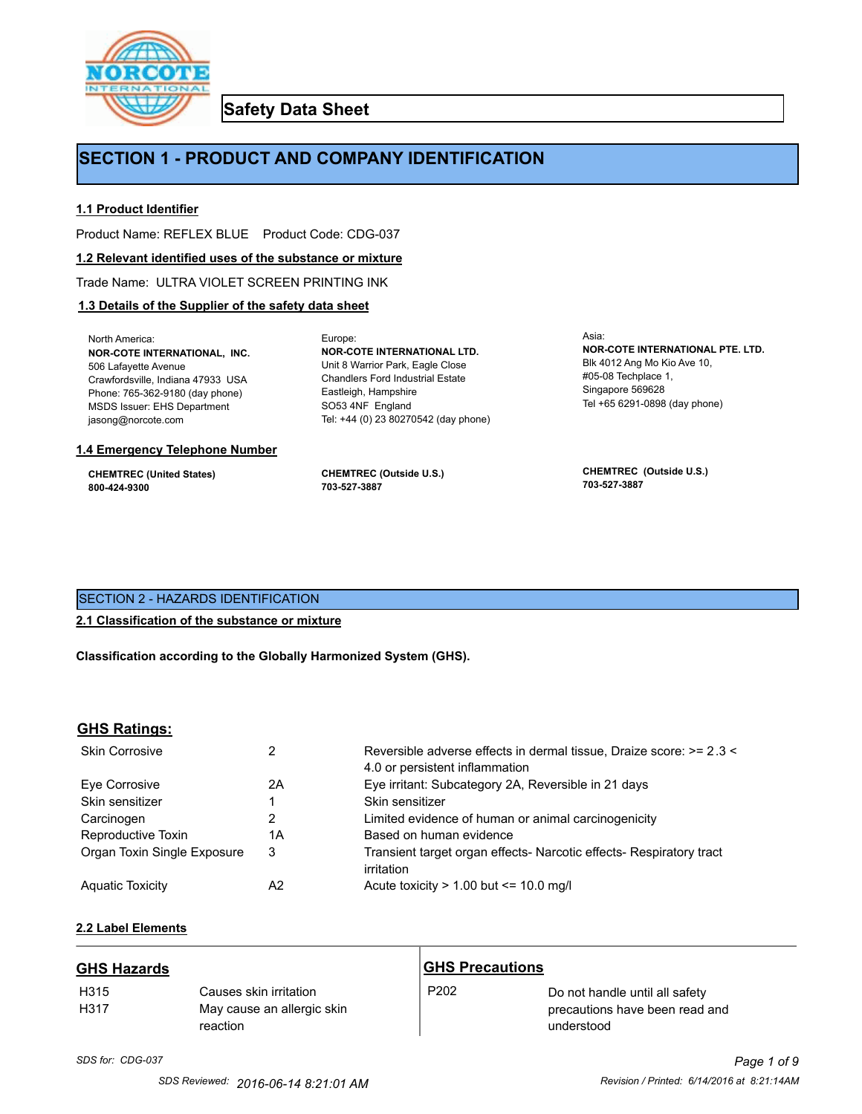

**Safety Data Sheet**

# **SECTION 1 - PRODUCT AND COMPANY IDENTIFICATION**

Europe:

# **1.1 Product Identifier**

Product Name: REFLEX BLUE Product Code: CDG-037

### **1.2 Relevant identified uses of the substance or mixture**

Trade Name: ULTRA VIOLET SCREEN PRINTING INK

# **1.3 Details of the Supplier of the safety data sheet**

North America: **NOR-COTE INTERNATIONAL, INC.** 506 Lafayette Avenue Crawfordsville, Indiana 47933 USA Phone: 765-362-9180 (day phone) MSDS Issuer: EHS Department jasong@norcote.com

#### **1.4 Emergency Telephone Number**

**CHEMTREC (United States) 800-424-9300**

**CHEMTREC (Outside U.S.) 703-527-3887**

Eastleigh, Hampshire SO53 4NF England

**NOR-COTE INTERNATIONAL LTD.** Unit 8 Warrior Park, Eagle Close Chandlers Ford Industrial Estate

Tel: +44 (0) 23 80270542 (day phone)

Asia: **NOR-COTE INTERNATIONAL PTE. LTD.** Blk 4012 Ang Mo Kio Ave 10, #05-08 Techplace 1, Singapore 569628 Tel +65 6291-0898 (day phone)

**CHEMTREC (Outside U.S.) 703-527-3887**

# SECTION 2 - HAZARDS IDENTIFICATION

# **2.1 Classification of the substance or mixture**

**Classification according to the Globally Harmonized System (GHS).**

# **GHS Ratings:**

| <b>Skin Corrosive</b>       | 2  | Reversible adverse effects in dermal tissue, Draize score: >= 2.3 <<br>4.0 or persistent inflammation |
|-----------------------------|----|-------------------------------------------------------------------------------------------------------|
| Eve Corrosive               | 2A | Eye irritant: Subcategory 2A, Reversible in 21 days                                                   |
| Skin sensitizer             |    | Skin sensitizer                                                                                       |
| Carcinogen                  |    | Limited evidence of human or animal carcinogenicity                                                   |
| Reproductive Toxin          | 1A | Based on human evidence                                                                               |
| Organ Toxin Single Exposure | 3  | Transient target organ effects- Narcotic effects- Respiratory tract<br>irritation                     |
| <b>Aguatic Toxicity</b>     | A2 | Acute toxicity $> 1.00$ but $\leq 10.0$ mg/l                                                          |

# **2.2 Label Elements**

| <b>GHS Hazards</b>       |                                                                  | <b>GHS Precautions</b> |                                                                                |
|--------------------------|------------------------------------------------------------------|------------------------|--------------------------------------------------------------------------------|
| H <sub>315</sub><br>H317 | Causes skin irritation<br>May cause an allergic skin<br>reaction | P <sub>202</sub>       | Do not handle until all safety<br>precautions have been read and<br>understood |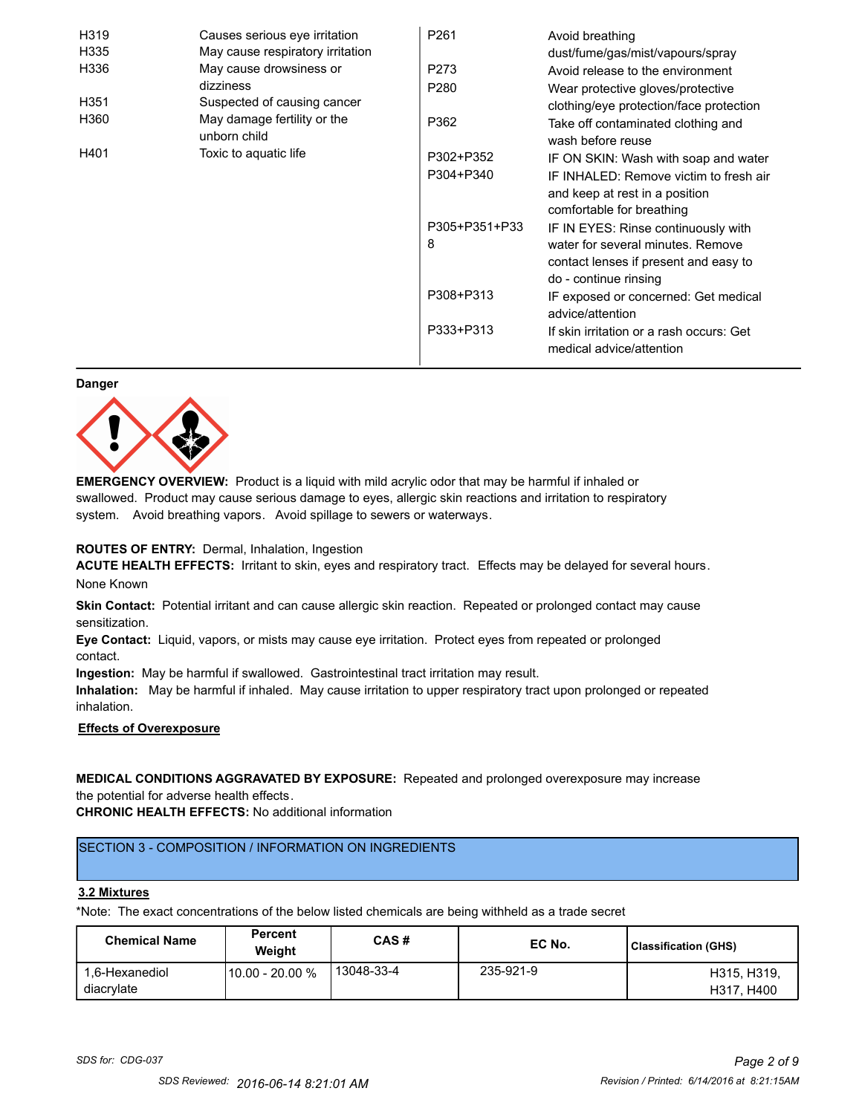| H319 | Causes serious eye irritation               | P <sub>261</sub> | Avoid breathing                                                      |
|------|---------------------------------------------|------------------|----------------------------------------------------------------------|
| H335 | May cause respiratory irritation            |                  | dust/fume/gas/mist/vapours/spray                                     |
| H336 | May cause drowsiness or                     | P273             | Avoid release to the environment                                     |
|      | dizziness                                   | P <sub>280</sub> | Wear protective gloves/protective                                    |
| H351 | Suspected of causing cancer                 |                  | clothing/eye protection/face protection                              |
| H360 | May damage fertility or the<br>unborn child | P362             | Take off contaminated clothing and<br>wash before reuse              |
| H401 | Toxic to aquatic life                       | P302+P352        | IF ON SKIN: Wash with soap and water                                 |
|      |                                             | P304+P340        | IF INHALED: Remove victim to fresh air                               |
|      |                                             |                  | and keep at rest in a position                                       |
|      |                                             |                  | comfortable for breathing                                            |
|      |                                             | P305+P351+P33    | IF IN EYES: Rinse continuously with                                  |
|      |                                             | 8                | water for several minutes. Remove                                    |
|      |                                             |                  | contact lenses if present and easy to                                |
|      |                                             |                  | do - continue rinsing                                                |
|      |                                             | P308+P313        | IF exposed or concerned: Get medical                                 |
|      |                                             |                  | advice/attention                                                     |
|      |                                             | P333+P313        | If skin irritation or a rash occurs: Get<br>medical advice/attention |

#### **Danger**



**EMERGENCY OVERVIEW:** Product is a liquid with mild acrylic odor that may be harmful if inhaled or swallowed. Product may cause serious damage to eyes, allergic skin reactions and irritation to respiratory system. Avoid breathing vapors. Avoid spillage to sewers or waterways.

# **ROUTES OF ENTRY:** Dermal, Inhalation, Ingestion

**ACUTE HEALTH EFFECTS:** Irritant to skin, eyes and respiratory tract. Effects may be delayed for several hours. None Known

**Skin Contact:** Potential irritant and can cause allergic skin reaction. Repeated or prolonged contact may cause sensitization.

**Eye Contact:** Liquid, vapors, or mists may cause eye irritation. Protect eyes from repeated or prolonged contact.

**Ingestion:** May be harmful if swallowed. Gastrointestinal tract irritation may result.

**Inhalation:** May be harmful if inhaled. May cause irritation to upper respiratory tract upon prolonged or repeated inhalation.

# **Effects of Overexposure**

# **MEDICAL CONDITIONS AGGRAVATED BY EXPOSURE:** Repeated and prolonged overexposure may increase the potential for adverse health effects.

**CHRONIC HEALTH EFFECTS:** No additional information

# SECTION 3 - COMPOSITION / INFORMATION ON INGREDIENTS

#### **3.2 Mixtures**

\*Note: The exact concentrations of the below listed chemicals are being withheld as a trade secret

| <b>Chemical Name</b>         | <b>Percent</b><br>Weiaht | CAS#       | EC No.    | <b>Classification (GHS)</b> |
|------------------------------|--------------------------|------------|-----------|-----------------------------|
| 1.6-Hexanediol<br>diacrylate | 10.00 - 20.00 %          | 13048-33-4 | 235-921-9 | H315, H319,<br>H317, H400   |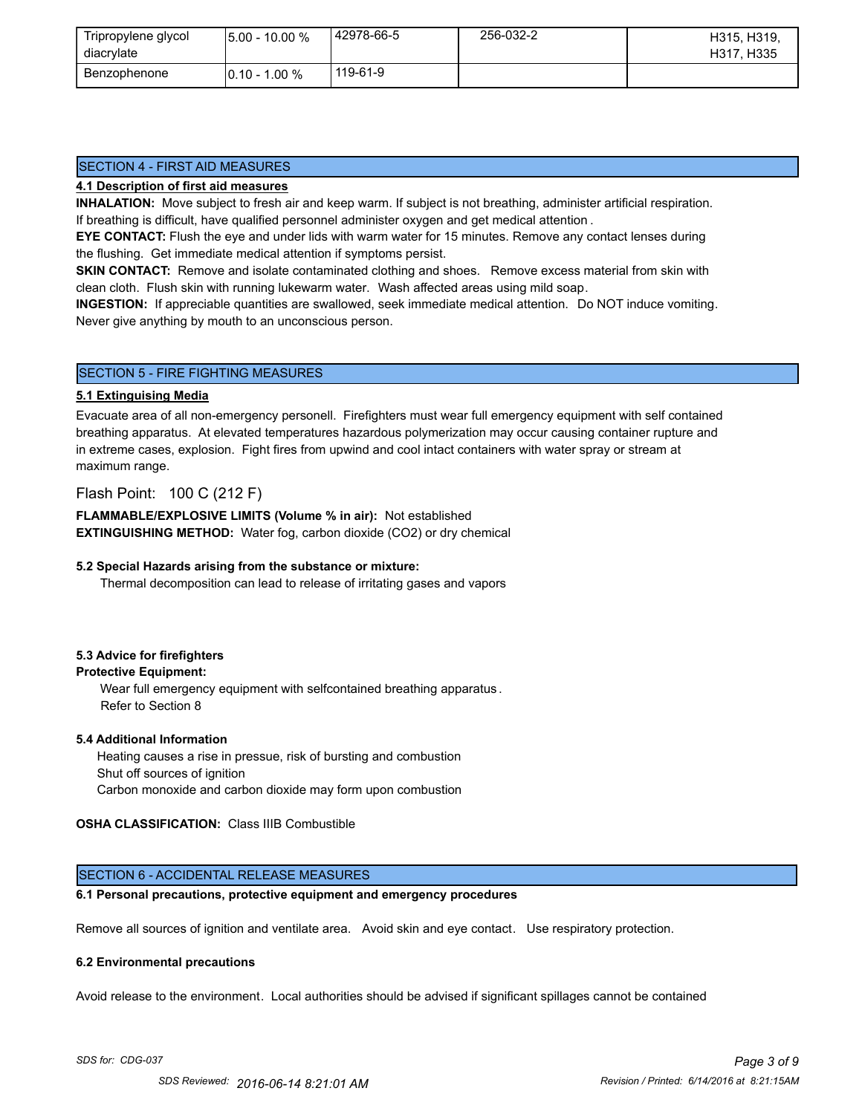| Tripropylene glycol<br>diacrylate | $15.00 - 10.00 %$ | 42978-66-5 | 256-032-2 | H315, H319,<br>H317, H335 |
|-----------------------------------|-------------------|------------|-----------|---------------------------|
| Benzophenone                      | $10.10 - 1.00 \%$ | 119-61-9   |           |                           |

# SECTION 4 - FIRST AID MEASURES

# **4.1 Description of first aid measures**

**INHALATION:** Move subject to fresh air and keep warm. If subject is not breathing, administer artificial respiration. If breathing is difficult, have qualified personnel administer oxygen and get medical attention .

**EYE CONTACT:** Flush the eye and under lids with warm water for 15 minutes. Remove any contact lenses during the flushing. Get immediate medical attention if symptoms persist.

**SKIN CONTACT:** Remove and isolate contaminated clothing and shoes. Remove excess material from skin with clean cloth. Flush skin with running lukewarm water. Wash affected areas using mild soap.

**INGESTION:** If appreciable quantities are swallowed, seek immediate medical attention. Do NOT induce vomiting. Never give anything by mouth to an unconscious person.

# SECTION 5 - FIRE FIGHTING MEASURES

# **5.1 Extinguising Media**

Evacuate area of all non-emergency personell. Firefighters must wear full emergency equipment with self contained breathing apparatus. At elevated temperatures hazardous polymerization may occur causing container rupture and in extreme cases, explosion. Fight fires from upwind and cool intact containers with water spray or stream at maximum range.

# Flash Point: 100 C (212 F)

**FLAMMABLE/EXPLOSIVE LIMITS (Volume % in air):** Not established **EXTINGUISHING METHOD:** Water fog, carbon dioxide (CO2) or dry chemical

# **5.2 Special Hazards arising from the substance or mixture:**

Thermal decomposition can lead to release of irritating gases and vapors

# **5.3 Advice for firefighters**

# **Protective Equipment:**

Wear full emergency equipment with selfcontained breathing apparatus . Refer to Section 8

# **5.4 Additional Information**

 Heating causes a rise in pressue, risk of bursting and combustion Shut off sources of ignition Carbon monoxide and carbon dioxide may form upon combustion

# **OSHA CLASSIFICATION:** Class IIIB Combustible

# SECTION 6 - ACCIDENTAL RELEASE MEASURES

# **6.1 Personal precautions, protective equipment and emergency procedures**

Remove all sources of ignition and ventilate area. Avoid skin and eye contact. Use respiratory protection.

#### **6.2 Environmental precautions**

Avoid release to the environment. Local authorities should be advised if significant spillages cannot be contained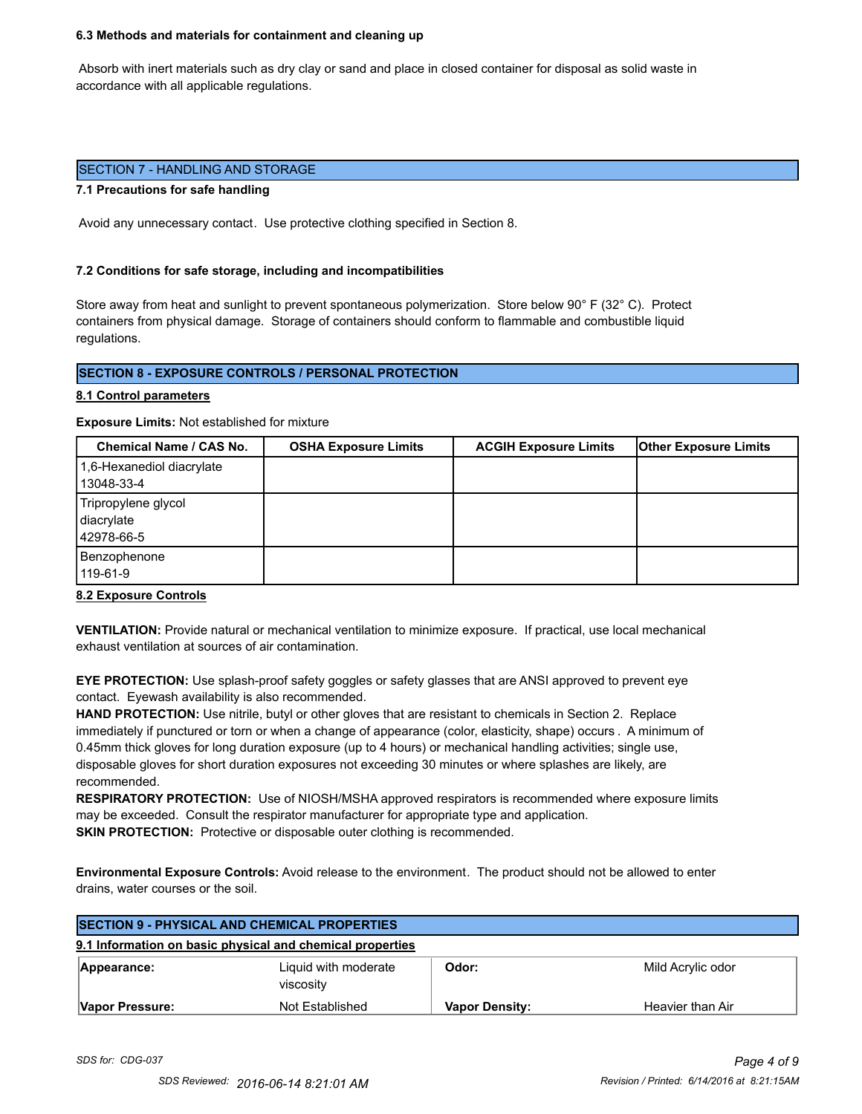#### **6.3 Methods and materials for containment and cleaning up**

 Absorb with inert materials such as dry clay or sand and place in closed container for disposal as solid waste in accordance with all applicable regulations.

### SECTION 7 - HANDLING AND STORAGE

#### **7.1 Precautions for safe handling**

Avoid any unnecessary contact. Use protective clothing specified in Section 8.

#### **7.2 Conditions for safe storage, including and incompatibilities**

Store away from heat and sunlight to prevent spontaneous polymerization. Store below 90° F (32° C). Protect containers from physical damage. Storage of containers should conform to flammable and combustible liquid regulations.

# **SECTION 8 - EXPOSURE CONTROLS / PERSONAL PROTECTION**

#### **8.1 Control parameters**

**Exposure Limits:** Not established for mixture

| Chemical Name / CAS No.                         | <b>OSHA Exposure Limits</b> | <b>ACGIH Exposure Limits</b> | <b>Other Exposure Limits</b> |
|-------------------------------------------------|-----------------------------|------------------------------|------------------------------|
| 1,6-Hexanediol diacrylate<br>13048-33-4         |                             |                              |                              |
| Tripropylene glycol<br>diacrylate<br>42978-66-5 |                             |                              |                              |
| Benzophenone<br>119-61-9                        |                             |                              |                              |

#### **8.2 Exposure Controls**

**VENTILATION:** Provide natural or mechanical ventilation to minimize exposure. If practical, use local mechanical exhaust ventilation at sources of air contamination.

**EYE PROTECTION:** Use splash-proof safety goggles or safety glasses that are ANSI approved to prevent eye contact. Eyewash availability is also recommended.

**HAND PROTECTION:** Use nitrile, butyl or other gloves that are resistant to chemicals in Section 2. Replace immediately if punctured or torn or when a change of appearance (color, elasticity, shape) occurs . A minimum of 0.45mm thick gloves for long duration exposure (up to 4 hours) or mechanical handling activities; single use, disposable gloves for short duration exposures not exceeding 30 minutes or where splashes are likely, are recommended.

**RESPIRATORY PROTECTION:** Use of NIOSH/MSHA approved respirators is recommended where exposure limits may be exceeded. Consult the respirator manufacturer for appropriate type and application. **SKIN PROTECTION:** Protective or disposable outer clothing is recommended.

**Environmental Exposure Controls:** Avoid release to the environment. The product should not be allowed to enter drains, water courses or the soil.

| <b>SECTION 9 - PHYSICAL AND CHEMICAL PROPERTIES</b> |                                                           |                       |                   |
|-----------------------------------------------------|-----------------------------------------------------------|-----------------------|-------------------|
|                                                     | 9.1 Information on basic physical and chemical properties |                       |                   |
| Appearance:                                         | Liquid with moderate<br>viscosity                         | Odor:                 | Mild Acrylic odor |
| Vapor Pressure:                                     | Not Established                                           | <b>Vapor Density:</b> | Heavier than Air  |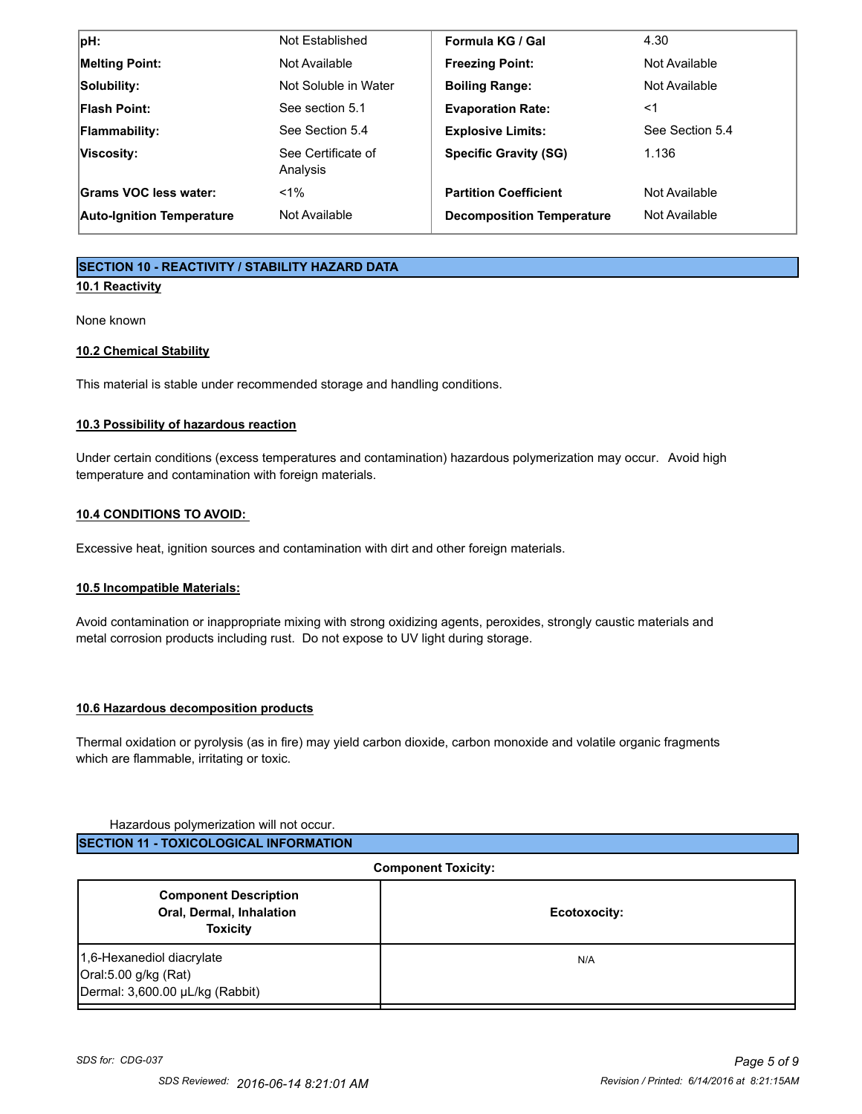| $ pH$ :                          | Not Established                | Formula KG / Gal                 | 4.30            |
|----------------------------------|--------------------------------|----------------------------------|-----------------|
| <b>Melting Point:</b>            | Not Available                  | <b>Freezing Point:</b>           | Not Available   |
| Solubility:                      | Not Soluble in Water           | <b>Boiling Range:</b>            | Not Available   |
| <b>Flash Point:</b>              | See section 5.1                | <b>Evaporation Rate:</b>         | ≺1              |
| <b>Flammability:</b>             | See Section 5.4                | <b>Explosive Limits:</b>         | See Section 5.4 |
| Viscosity:                       | See Certificate of<br>Analysis | <b>Specific Gravity (SG)</b>     | 1.136           |
| Grams VOC less water:            | $< 1\%$                        | <b>Partition Coefficient</b>     | Not Available   |
| <b>Auto-Ignition Temperature</b> | Not Available                  | <b>Decomposition Temperature</b> | Not Available   |

# **SECTION 10 - REACTIVITY / STABILITY HAZARD DATA**

# **10.1 Reactivity**

None known

# **10.2 Chemical Stability**

This material is stable under recommended storage and handling conditions.

# **10.3 Possibility of hazardous reaction**

Under certain conditions (excess temperatures and contamination) hazardous polymerization may occur. Avoid high temperature and contamination with foreign materials.

# **10.4 CONDITIONS TO AVOID:**

Excessive heat, ignition sources and contamination with dirt and other foreign materials.

# **10.5 Incompatible Materials:**

Avoid contamination or inappropriate mixing with strong oxidizing agents, peroxides, strongly caustic materials and metal corrosion products including rust. Do not expose to UV light during storage.

# **10.6 Hazardous decomposition products**

Thermal oxidation or pyrolysis (as in fire) may yield carbon dioxide, carbon monoxide and volatile organic fragments which are flammable, irritating or toxic.

# Hazardous polymerization will not occur.

| ISECTION 11 - TOXICOLOGICAL INFORMATION |
|-----------------------------------------|
|                                         |

| <b>Component Toxicity:</b>                                                           |              |  |
|--------------------------------------------------------------------------------------|--------------|--|
| <b>Component Description</b><br>Oral, Dermal, Inhalation<br><b>Toxicity</b>          | Ecotoxocity: |  |
| 1,6-Hexanediol diacrylate<br>Oral:5.00 g/kg (Rat)<br>Dermal: 3,600.00 µL/kg (Rabbit) | N/A          |  |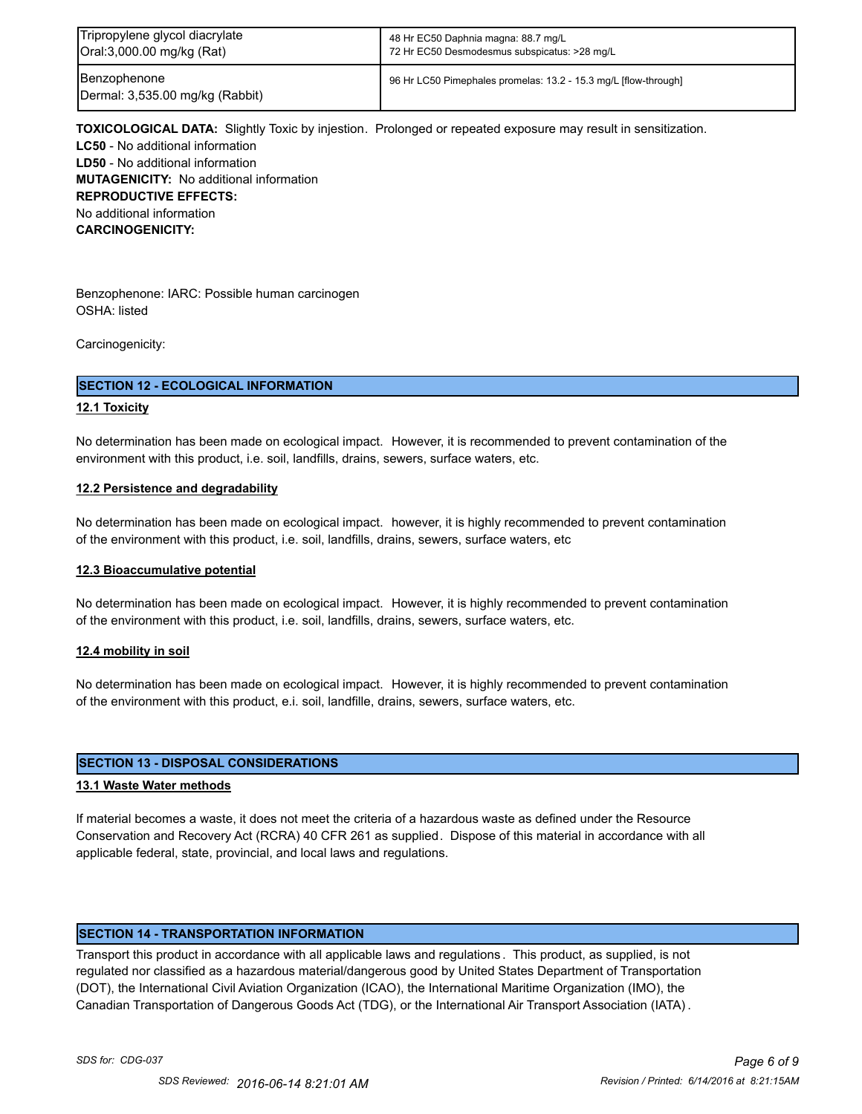| Tripropylene glycol diacrylate                  | 48 Hr EC50 Daphnia magna: 88.7 mg/L                             |
|-------------------------------------------------|-----------------------------------------------------------------|
| Oral:3,000.00 mg/kg (Rat)                       | 72 Hr EC50 Desmodesmus subspicatus: >28 mg/L                    |
| Benzophenone<br>Dermal: 3,535.00 mg/kg (Rabbit) | 96 Hr LC50 Pimephales promelas: 13.2 - 15.3 mg/L [flow-through] |

**TOXICOLOGICAL DATA:** Slightly Toxic by injestion. Prolonged or repeated exposure may result in sensitization. **LC50** - No additional information **LD50** - No additional information **MUTAGENICITY:** No additional information **REPRODUCTIVE EFFECTS:** No additional information **CARCINOGENICITY:**

Benzophenone: IARC: Possible human carcinogen OSHA: listed

Carcinogenicity:

# **SECTION 12 - ECOLOGICAL INFORMATION**

# **12.1 Toxicity**

No determination has been made on ecological impact. However, it is recommended to prevent contamination of the environment with this product, i.e. soil, landfills, drains, sewers, surface waters, etc.

# **12.2 Persistence and degradability**

No determination has been made on ecological impact. however, it is highly recommended to prevent contamination of the environment with this product, i.e. soil, landfills, drains, sewers, surface waters, etc

# **12.3 Bioaccumulative potential**

No determination has been made on ecological impact. However, it is highly recommended to prevent contamination of the environment with this product, i.e. soil, landfills, drains, sewers, surface waters, etc.

# **12.4 mobility in soil**

No determination has been made on ecological impact. However, it is highly recommended to prevent contamination of the environment with this product, e.i. soil, landfille, drains, sewers, surface waters, etc.

# **SECTION 13 - DISPOSAL CONSIDERATIONS**

# **13.1 Waste Water methods**

If material becomes a waste, it does not meet the criteria of a hazardous waste as defined under the Resource Conservation and Recovery Act (RCRA) 40 CFR 261 as supplied. Dispose of this material in accordance with all applicable federal, state, provincial, and local laws and regulations.

# **SECTION 14 - TRANSPORTATION INFORMATION**

Transport this product in accordance with all applicable laws and regulations . This product, as supplied, is not regulated nor classified as a hazardous material/dangerous good by United States Department of Transportation (DOT), the International Civil Aviation Organization (ICAO), the International Maritime Organization (IMO), the Canadian Transportation of Dangerous Goods Act (TDG), or the International Air Transport Association (IATA) .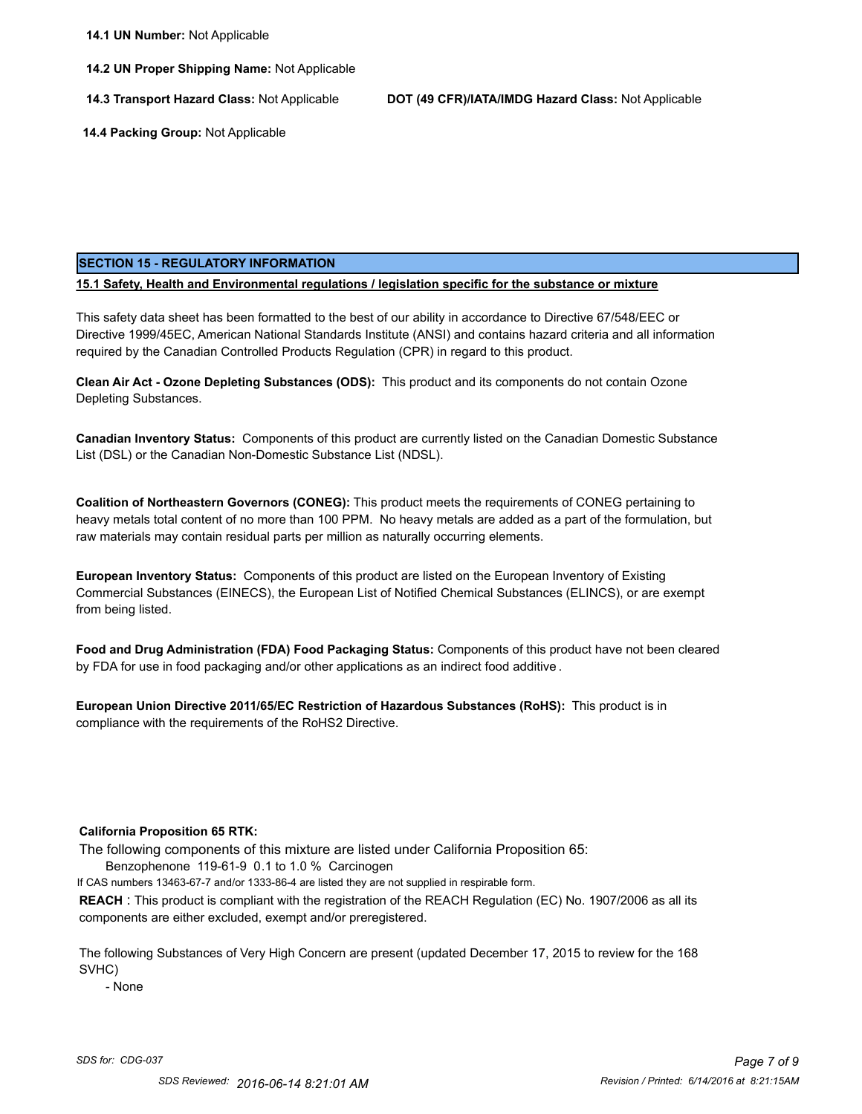**14.2 UN Proper Shipping Name:** Not Applicable

**14.3 Transport Hazard Class:** Not Applicable **DOT (49 CFR)/IATA/IMDG Hazard Class:** Not Applicable

 **14.4 Packing Group:** Not Applicable

# **SECTION 15 - REGULATORY INFORMATION**

**15.1 Safety, Health and Environmental regulations / legislation specific for the substance or mixture**

This safety data sheet has been formatted to the best of our ability in accordance to Directive 67/548/EEC or Directive 1999/45EC, American National Standards Institute (ANSI) and contains hazard criteria and all information required by the Canadian Controlled Products Regulation (CPR) in regard to this product.

**Clean Air Act - Ozone Depleting Substances (ODS):** This product and its components do not contain Ozone Depleting Substances.

**Canadian Inventory Status:** Components of this product are currently listed on the Canadian Domestic Substance List (DSL) or the Canadian Non-Domestic Substance List (NDSL).

**Coalition of Northeastern Governors (CONEG):** This product meets the requirements of CONEG pertaining to heavy metals total content of no more than 100 PPM. No heavy metals are added as a part of the formulation, but raw materials may contain residual parts per million as naturally occurring elements.

**European Inventory Status:** Components of this product are listed on the European Inventory of Existing Commercial Substances (EINECS), the European List of Notified Chemical Substances (ELINCS), or are exempt from being listed.

**Food and Drug Administration (FDA) Food Packaging Status:** Components of this product have not been cleared by FDA for use in food packaging and/or other applications as an indirect food additive .

**European Union Directive 2011/65/EC Restriction of Hazardous Substances (RoHS):** This product is in compliance with the requirements of the RoHS2 Directive.

# **California Proposition 65 RTK:**

The following components of this mixture are listed under California Proposition 65:

Benzophenone 119-61-9 0.1 to 1.0 % Carcinogen

If CAS numbers 13463-67-7 and/or 1333-86-4 are listed they are not supplied in respirable form.

**REACH** : This product is compliant with the registration of the REACH Regulation (EC) No. 1907/2006 as all its components are either excluded, exempt and/or preregistered.

The following Substances of Very High Concern are present (updated December 17, 2015 to review for the 168 SVHC)

- None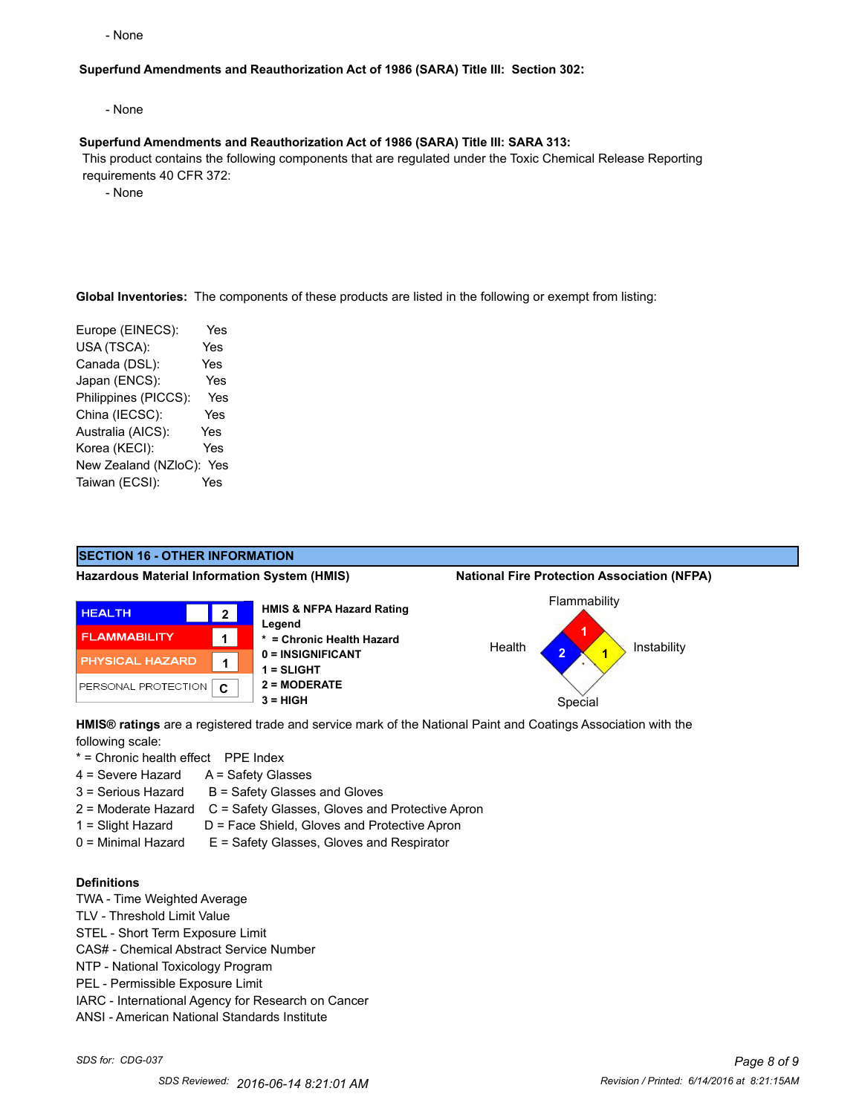- None

# **Superfund Amendments and Reauthorization Act of 1986 (SARA) Title III: Section 302:**

- None

#### **Superfund Amendments and Reauthorization Act of 1986 (SARA) Title III: SARA 313:**

 This product contains the following components that are regulated under the Toxic Chemical Release Reporting requirements 40 CFR 372:

- None

**Global Inventories:** The components of these products are listed in the following or exempt from listing:

Europe (EINECS): Yes USA (TSCA): Yes Canada (DSL): Yes Japan (ENCS): Yes Philippines (PICCS): Yes China (IECSC): Yes Australia (AICS): Yes Korea (KECI): Yes New Zealand (NZloC): Yes Taiwan (ECSI): Yes



**HMIS® ratings** are a registered trade and service mark of the National Paint and Coatings Association with the following scale:

\* = Chronic health effect PPE Index

- 4 = Severe Hazard A = Safety Glasses
- $3 =$  Serious Hazard  $B =$  Safety Glasses and Gloves
- 2 = Moderate Hazard C = Safety Glasses, Gloves and Protective Apron
- 1 = Slight Hazard D = Face Shield, Gloves and Protective Apron
- 0 = Minimal Hazard E = Safety Glasses, Gloves and Respirator

# **Definitions**

- TWA Time Weighted Average
- TLV Threshold Limit Value
- STEL Short Term Exposure Limit
- CAS# Chemical Abstract Service Number
- NTP National Toxicology Program
- PEL Permissible Exposure Limit
- IARC International Agency for Research on Cancer
- ANSI American National Standards Institute